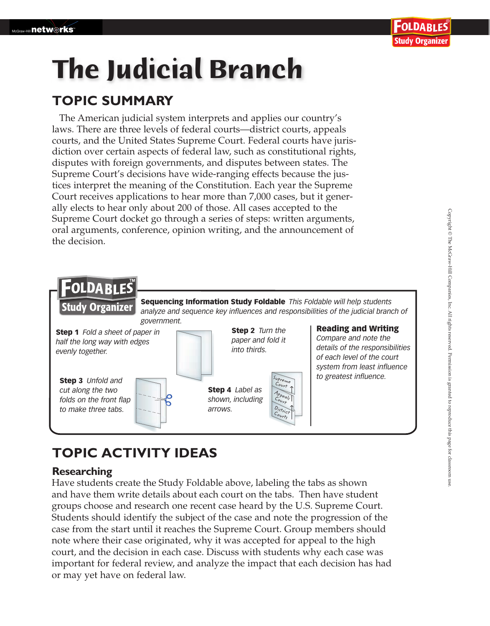# **The Judicial Branch**

### **TOPIC SUMMARY**

The American judicial system interprets and applies our country's laws. There are three levels of federal courts—district courts, appeals courts, and the United States Supreme Court. Federal courts have jurisdiction over certain aspects of federal law, such as constitutional rights, disputes with foreign governments, and disputes between states. The Supreme Court's decisions have wide-ranging effects because the justices interpret the meaning of the Constitution. Each year the Supreme Court receives applications to hear more than 7,000 cases, but it generally elects to hear only about 200 of those. All cases accepted to the Supreme Court docket go through a series of steps: written arguments, oral arguments, conference, opinion writing, and the announcement of the decision.



## **TOPIC ACTIVITY IDEAS**

#### **Researching**

Have students create the Study Foldable above, labeling the tabs as shown and have them write details about each court on the tabs. Then have student groups choose and research one recent case heard by the U.S. Supreme Court. Students should identify the subject of the case and note the progression of the case from the start until it reaches the Supreme Court. Group members should note where their case originated, why it was accepted for appeal to the high court, and the decision in each case. Discuss with students why each case was important for federal review, and analyze the impact that each decision has had or may yet have on federal law.